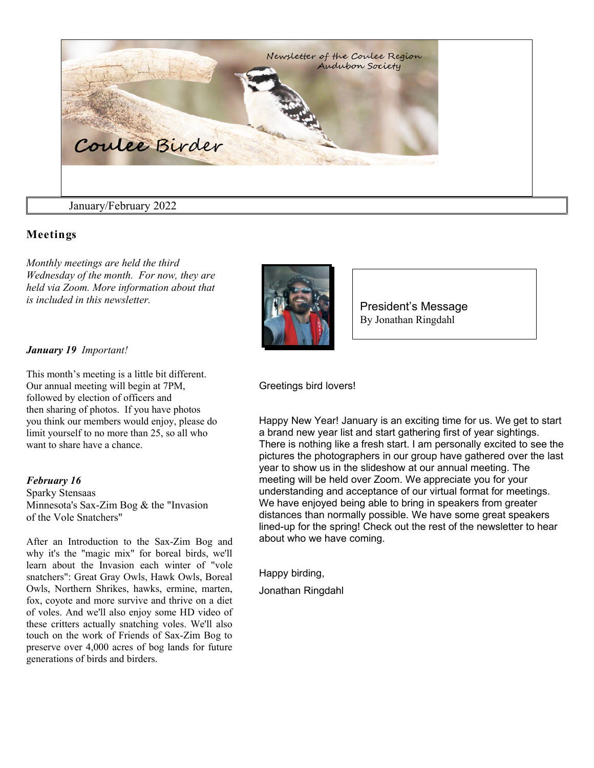

## **Meetings**

*Monthly meetings are held the third Wednesday of the month. For now, they are held via Zoom. More information about that is included in this newsletter.*



President's Message By Jonathan Ringdahl

### *January 19 Important!*

This month's meeting is a little bit different. Our annual meeting will begin at 7PM, followed by election of officers and then sharing of photos. If you have photos you think our members would enjoy, please do limit yourself to no more than 25, so all who want to share have a chance.

### *February 16*

Sparky Stensaas Minnesota's Sax-Zim Bog & the "Invasion of the Vole Snatchers"

After an Introduction to the Sax-Zim Bog and why it's the "magic mix" for boreal birds, we'll learn about the Invasion each winter of "vole snatchers": Great Gray Owls, Hawk Owls, Boreal Owls, Northern Shrikes, hawks, ermine, marten, fox, coyote and more survive and thrive on a diet of voles. And we'll also enjoy some HD video of these critters actually snatching voles. We'll also touch on the work of Friends of Sax-Zim Bog to preserve over 4,000 acres of bog lands for future generations of birds and birders.

Greetings bird lovers!

Happy New Year! January is an exciting time for us. We get to start a brand new year list and start gathering first of year sightings. There is nothing like a fresh start. I am personally excited to see the pictures the photographers in our group have gathered over the last year to show us in the slideshow at our annual meeting. The meeting will be held over Zoom. We appreciate you for your understanding and acceptance of our virtual format for meetings. We have enjoyed being able to bring in speakers from greater distances than normally possible. We have some great speakers lined-up for the spring! Check out the rest of the newsletter to hear about who we have coming.

Happy birding,

Jonathan Ringdahl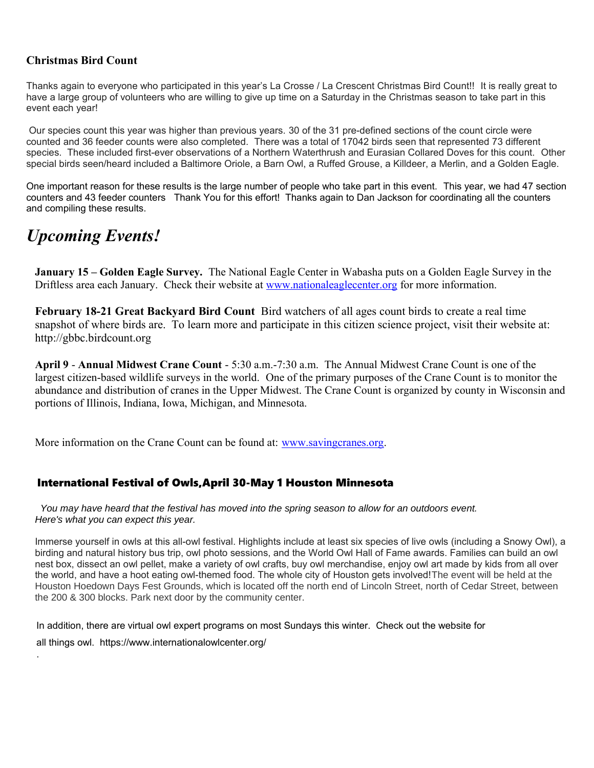### **Christmas Bird Count**

Thanks again to everyone who participated in this year's La Crosse / La Crescent Christmas Bird Count!! It is really great to have a large group of volunteers who are willing to give up time on a Saturday in the Christmas season to take part in this event each year!

 Our species count this year was higher than previous years. 30 of the 31 pre-defined sections of the count circle were counted and 36 feeder counts were also completed. There was a total of 17042 birds seen that represented 73 different species. These included first-ever observations of a Northern Waterthrush and Eurasian Collared Doves for this count. Other special birds seen/heard included a Baltimore Oriole, a Barn Owl, a Ruffed Grouse, a Killdeer, a Merlin, and a Golden Eagle.

One important reason for these results is the large number of people who take part in this event. This year, we had 47 section counters and 43 feeder counters Thank You for this effort! Thanks again to Dan Jackson for coordinating all the counters and compiling these results.

# *Upcoming Events!*

.

**January 15 – Golden Eagle Survey.** The National Eagle Center in Wabasha puts on a Golden Eagle Survey in the Driftless area each January. Check their website at [www.nationaleaglecenter.org](http://www.nationaleaglecenter.org/) for more information.

**February 18-21 Great Backyard Bird Count** Bird watchers of all ages count birds to create a real time snapshot of where birds are. To learn more and participate in this citizen science project, visit their website at: http://gbbc.birdcount.org

**April 9** - **Annual Midwest Crane Count** - 5:30 a.m.-7:30 a.m. The Annual Midwest Crane Count is one of the largest citizen-based wildlife surveys in the world. One of the primary purposes of the Crane Count is to monitor the abundance and distribution of cranes in the Upper Midwest. The Crane Count is organized by county in Wisconsin and portions of Illinois, Indiana, Iowa, Michigan, and Minnesota.

More information on the Crane Count can be found at: [www.savingcranes.org.](http://www.savingcranes.org/)

## International Festival of Owls,April 30-May 1 Houston Minnesota

 You may have heard that the festival has moved into the spring season to allow for an outdoors event. Here's what you can expect this year.

Immerse yourself in owls at this all-owl festival. Highlights include at least six species of live owls (including a Snowy Owl), a birding and natural history bus trip, owl photo sessions, and the World Owl Hall of Fame awards. Families can build an owl nest box, dissect an owl pellet, make a variety of owl crafts, buy owl merchandise, enjoy owl art made by kids from all over the world, and have a hoot eating owl-themed food. The whole city of Houston gets involved!The event will be held at the Houston Hoedown Days Fest Grounds, which is located off the north end of Lincoln Street, north of Cedar Street, between the 200 & 300 blocks. Park next door by the community center.

In addition, there are virtual owl expert programs on most Sundays this winter. Check out the website for all things owl. https://www.internationalowlcenter.org/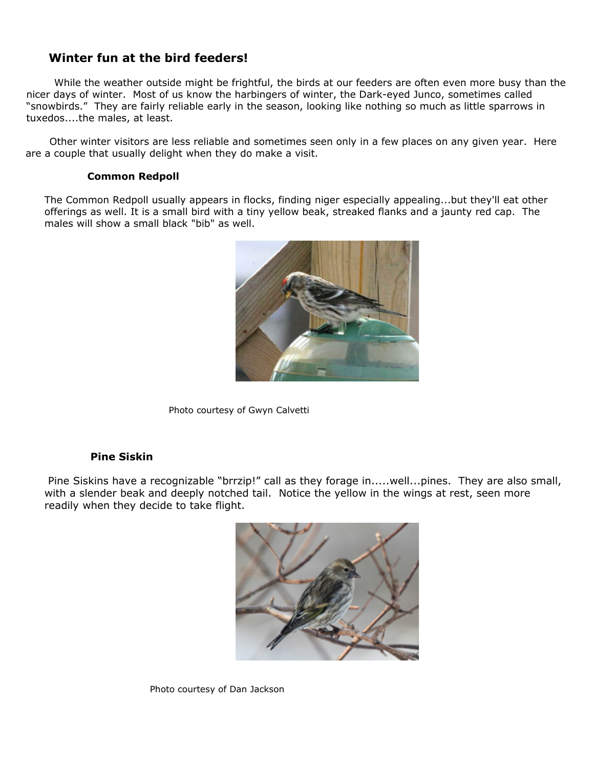## **Winter fun at the bird feeders!**

While the weather outside might be frightful, the birds at our feeders are often even more busy than the nicer days of winter. Most of us know the harbingers of winter, the Dark-eyed Junco, sometimes called "snowbirds." They are fairly reliable early in the season, looking like nothing so much as little sparrows in tuxedos....the males, at least.

 Other winter visitors are less reliable and sometimes seen only in a few places on any given year. Here are a couple that usually delight when they do make a visit.

### **Common Redpoll**

The Common Redpoll usually appears in flocks, finding niger especially appealing...but they'll eat other offerings as well. It is a small bird with a tiny yellow beak, streaked flanks and a jaunty red cap. The males will show a small black "bib" as well.



Photo courtesy of Gwyn Calvetti

### **Pine Siskin**

Pine Siskins have a recognizable "brrzip!" call as they forage in.....well...pines. They are also small, with a slender beak and deeply notched tail. Notice the yellow in the wings at rest, seen more readily when they decide to take flight.



Photo courtesy of Dan Jackson